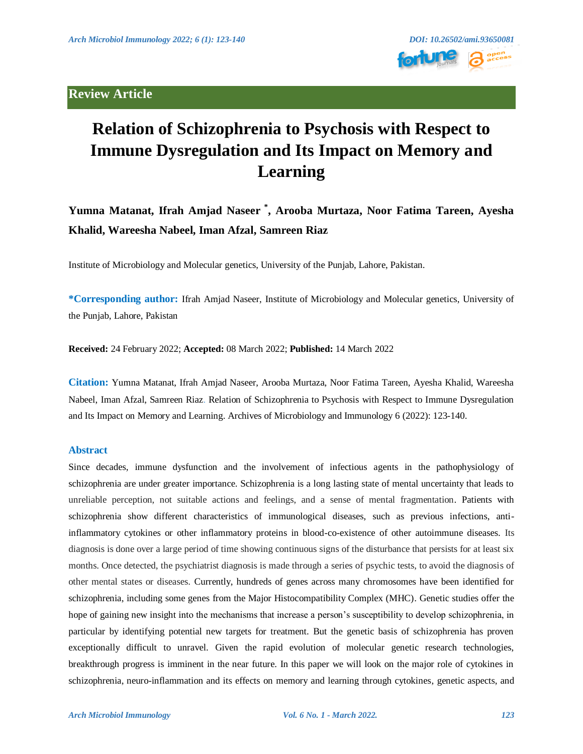# **Review Article**



# **Relation of Schizophrenia to Psychosis with Respect to Immune Dysregulation and Its Impact on Memory and Learning**

**Yumna Matanat, Ifrah Amjad Naseer \* , Arooba Murtaza, Noor Fatima Tareen, Ayesha Khalid, Wareesha Nabeel, Iman Afzal, Samreen Riaz**

Institute of Microbiology and Molecular genetics, University of the Punjab, Lahore, Pakistan.

**\*Corresponding author:** Ifrah Amjad Naseer, Institute of Microbiology and Molecular genetics, University of the Punjab, Lahore, Pakistan

**Received:** 24 February 2022; **Accepted:** 08 March 2022; **Published:** 14 March 2022

**Citation:** Yumna Matanat, Ifrah Amjad Naseer, Arooba Murtaza, Noor Fatima Tareen, Ayesha Khalid, Wareesha Nabeel, Iman Afzal, Samreen Riaz. Relation of Schizophrenia to Psychosis with Respect to Immune Dysregulation and Its Impact on Memory and Learning. Archives of Microbiology and Immunology 6 (2022): 123-140.

# **Abstract**

Since decades, immune dysfunction and the involvement of infectious agents in the pathophysiology of schizophrenia are under greater importance. Schizophrenia is a long lasting state of mental uncertainty that leads to unreliable perception, not suitable actions and feelings, and a sense of mental fragmentation. Patients with schizophrenia show different characteristics of immunological diseases, such as previous infections, antiinflammatory cytokines or other inflammatory proteins in blood-co-existence of other autoimmune diseases. Its diagnosis is done over a large period of time showing continuous signs of the disturbance that persists for at least six months. Once detected, the psychiatrist diagnosis is made through a series of psychic tests, to avoid the diagnosis of other mental states or diseases. Currently, hundreds of genes across many chromosomes have been identified for schizophrenia, including some genes from the Major Histocompatibility Complex (MHC). Genetic studies offer the hope of gaining new insight into the mechanisms that increase a person's susceptibility to develop schizophrenia, in particular by identifying potential new targets for treatment. But the genetic basis of schizophrenia has proven exceptionally difficult to unravel. Given the rapid evolution of molecular genetic research technologies, breakthrough progress is imminent in the near future. In this paper we will look on the major role of cytokines in schizophrenia, neuro-inflammation and its effects on memory and learning through cytokines, genetic aspects, and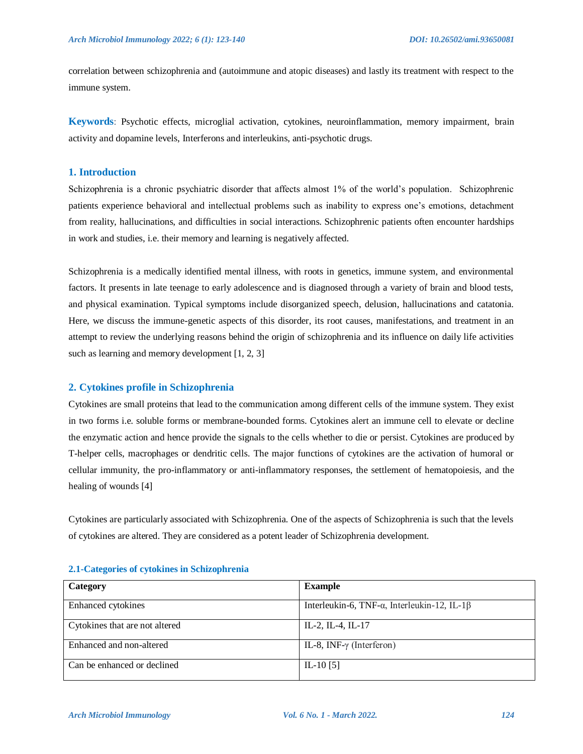correlation between schizophrenia and (autoimmune and atopic diseases) and lastly its treatment with respect to the immune system.

**Keywords**: Psychotic effects, microglial activation, cytokines, neuroinflammation, memory impairment, brain activity and dopamine levels, Interferons and interleukins, anti-psychotic drugs.

# **1. Introduction**

Schizophrenia is a chronic psychiatric disorder that affects almost 1% of the world"s population. Schizophrenic patients experience behavioral and intellectual problems such as inability to express one"s emotions, detachment from reality, hallucinations, and difficulties in social interactions. Schizophrenic patients often encounter hardships in work and studies, i.e. their memory and learning is negatively affected.

Schizophrenia is a medically identified mental illness, with roots in genetics, immune system, and environmental factors. It presents in late teenage to early adolescence and is diagnosed through a variety of brain and blood tests, and physical examination. Typical symptoms include disorganized speech, delusion, hallucinations and catatonia. Here, we discuss the immune-genetic aspects of this disorder, its root causes, manifestations, and treatment in an attempt to review the underlying reasons behind the origin of schizophrenia and its influence on daily life activities such as learning and memory development [1, 2, 3]

# **2. Cytokines profile in Schizophrenia**

Cytokines are small proteins that lead to the communication among different cells of the immune system. They exist in two forms i.e. soluble forms or membrane-bounded forms. Cytokines alert an immune cell to elevate or decline the enzymatic action and hence provide the signals to the cells whether to die or persist. Cytokines are produced by T-helper cells, macrophages or dendritic cells. The major functions of cytokines are the activation of humoral or cellular immunity, the pro-inflammatory or anti-inflammatory responses, the settlement of hematopoiesis, and the healing of wounds [4]

Cytokines are particularly associated with Schizophrenia. One of the aspects of Schizophrenia is such that the levels of cytokines are altered. They are considered as a potent leader of Schizophrenia development.

| Category                       | <b>Example</b>                                              |
|--------------------------------|-------------------------------------------------------------|
| Enhanced cytokines             | Interleukin-6, TNF- $\alpha$ , Interleukin-12, IL-1 $\beta$ |
| Cytokines that are not altered | IL-2, IL-4, IL-17                                           |
| Enhanced and non-altered       | IL-8, INF- $\gamma$ (Interferon)                            |
| Can be enhanced or declined    | IL-10 $[5]$                                                 |

# **2.1-Categories of cytokines in Schizophrenia**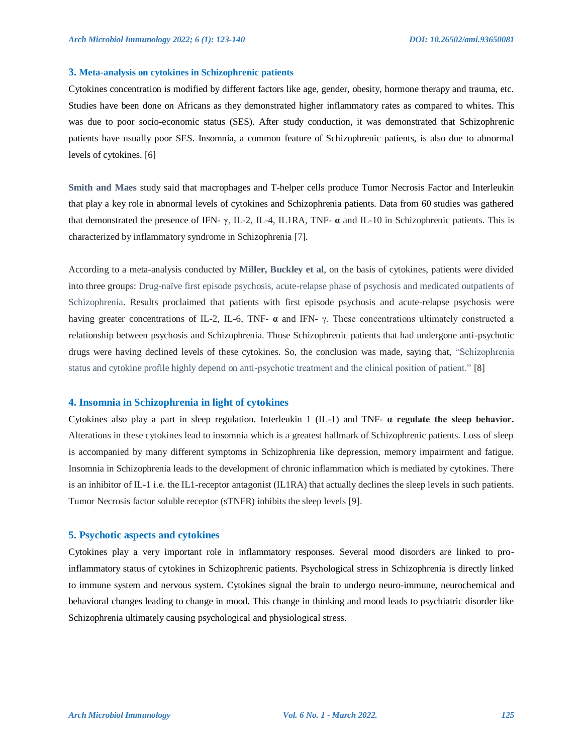#### **3. Meta-analysis on cytokines in Schizophrenic patients**

Cytokines concentration is modified by different factors like age, gender, obesity, hormone therapy and trauma, etc. Studies have been done on Africans as they demonstrated higher inflammatory rates as compared to whites. This was due to poor socio-economic status (SES). After study conduction, it was demonstrated that Schizophrenic patients have usually poor SES. Insomnia, a common feature of Schizophrenic patients, is also due to abnormal levels of cytokines. [6]

**Smith and Maes** study said that macrophages and T-helper cells produce Tumor Necrosis Factor and Interleukin that play a key role in abnormal levels of cytokines and Schizophrenia patients. Data from 60 studies was gathered that demonstrated the presence of IFN- γ, IL-2, IL-4, IL1RA, TNF- **α** and IL-10 in Schizophrenic patients. This is characterized by inflammatory syndrome in Schizophrenia [7].

According to a meta-analysis conducted by **Miller, Buckley et al**, on the basis of cytokines, patients were divided into three groups: Drug-naïve first episode psychosis, acute-relapse phase of psychosis and medicated outpatients of Schizophrenia. Results proclaimed that patients with first episode psychosis and acute-relapse psychosis were having greater concentrations of IL-2, IL-6, TNF**- α** and IFN- γ. These concentrations ultimately constructed a relationship between psychosis and Schizophrenia. Those Schizophrenic patients that had undergone anti-psychotic drugs were having declined levels of these cytokines. So, the conclusion was made, saying that, "Schizophrenia status and cytokine profile highly depend on anti-psychotic treatment and the clinical position of patient." [8]

# **4. Insomnia in Schizophrenia in light of cytokines**

Cytokines also play a part in sleep regulation. Interleukin 1 (IL-1) and TNF- **α regulate the sleep behavior.**  Alterations in these cytokines lead to insomnia which is a greatest hallmark of Schizophrenic patients. Loss of sleep is accompanied by many different symptoms in Schizophrenia like depression, memory impairment and fatigue. Insomnia in Schizophrenia leads to the development of chronic inflammation which is mediated by cytokines. There is an inhibitor of IL-1 i.e. the IL1-receptor antagonist (IL1RA) that actually declines the sleep levels in such patients. Tumor Necrosis factor soluble receptor (sTNFR) inhibits the sleep levels [9].

# **5. Psychotic aspects and cytokines**

Cytokines play a very important role in inflammatory responses. Several mood disorders are linked to proinflammatory status of cytokines in Schizophrenic patients. Psychological stress in Schizophrenia is directly linked to immune system and nervous system. Cytokines signal the brain to undergo neuro-immune, neurochemical and behavioral changes leading to change in mood. This change in thinking and mood leads to psychiatric disorder like Schizophrenia ultimately causing psychological and physiological stress.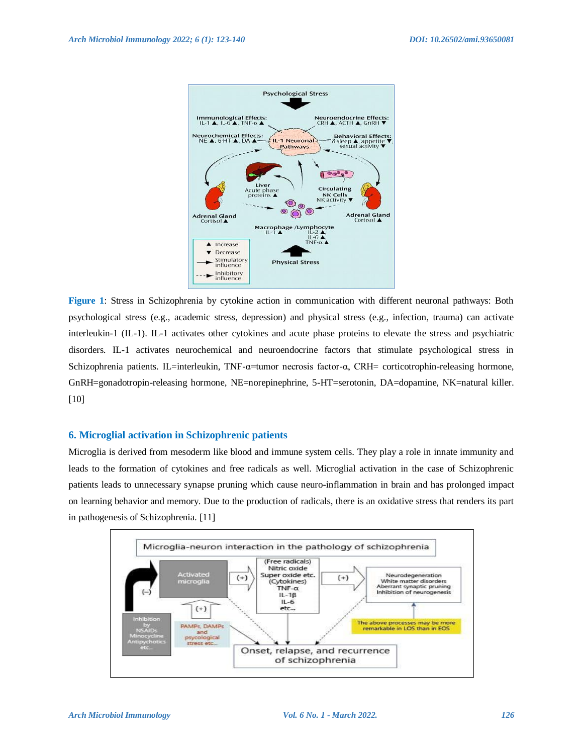

**Figure 1**: Stress in Schizophrenia by cytokine action in communication with different neuronal pathways: Both psychological stress (e.g., academic stress, depression) and physical stress (e.g., infection, trauma) can activate interleukin-1 (IL-1). IL-1 activates other cytokines and acute phase proteins to elevate the stress and psychiatric disorders. IL-1 activates neurochemical and neuroendocrine factors that stimulate psychological stress in Schizophrenia patients. IL=interleukin, TNF-α=tumor necrosis factor-α, CRH= corticotrophin-releasing hormone, GnRH=gonadotropin-releasing hormone, NE=norepinephrine, 5-HT=serotonin, DA=dopamine, NK=natural killer. [10]

# **6. Microglial activation in Schizophrenic patients**

Microglia is derived from mesoderm like blood and immune system cells. They play a role in innate immunity and leads to the formation of cytokines and free radicals as well. Microglial activation in the case of Schizophrenic patients leads to unnecessary synapse pruning which cause neuro-inflammation in brain and has prolonged impact on learning behavior and memory. Due to the production of radicals, there is an oxidative stress that renders its part in pathogenesis of Schizophrenia. [11]

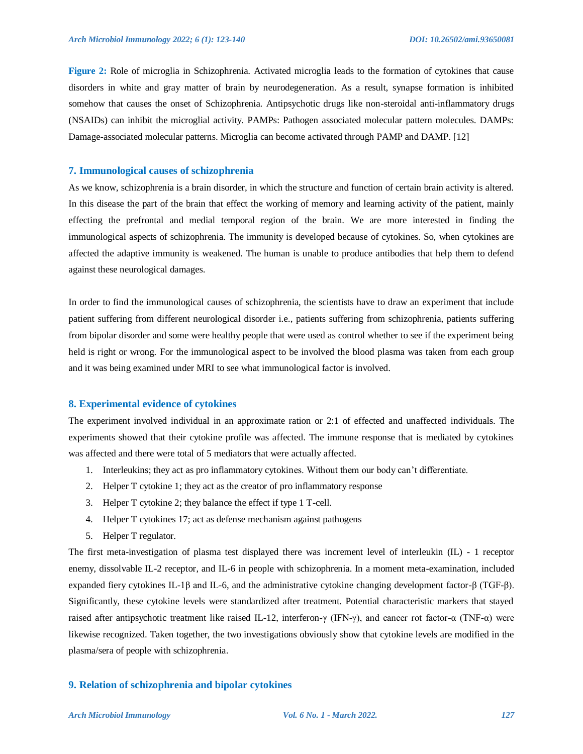**Figure 2:** Role of microglia in Schizophrenia. Activated microglia leads to the formation of cytokines that cause disorders in white and gray matter of brain by neurodegeneration. As a result, synapse formation is inhibited somehow that causes the onset of Schizophrenia. Antipsychotic drugs like non-steroidal anti-inflammatory drugs (NSAIDs) can inhibit the microglial activity. PAMPs: Pathogen associated molecular pattern molecules. DAMPs: Damage-associated molecular patterns. Microglia can become activated through PAMP and DAMP. [12]

#### **7. Immunological causes of schizophrenia**

As we know, schizophrenia is a brain disorder, in which the structure and function of certain brain activity is altered. In this disease the part of the brain that effect the working of memory and learning activity of the patient, mainly effecting the prefrontal and medial temporal region of the brain. We are more interested in finding the immunological aspects of schizophrenia. The immunity is developed because of cytokines. So, when cytokines are affected the adaptive immunity is weakened. The human is unable to produce antibodies that help them to defend against these neurological damages.

In order to find the immunological causes of schizophrenia, the scientists have to draw an experiment that include patient suffering from different neurological disorder i.e., patients suffering from schizophrenia, patients suffering from bipolar disorder and some were healthy people that were used as control whether to see if the experiment being held is right or wrong. For the immunological aspect to be involved the blood plasma was taken from each group and it was being examined under MRI to see what immunological factor is involved.

# **8. Experimental evidence of cytokines**

The experiment involved individual in an approximate ration or 2:1 of effected and unaffected individuals. The experiments showed that their cytokine profile was affected. The immune response that is mediated by cytokines was affected and there were total of 5 mediators that were actually affected.

- 1. Interleukins; they act as pro inflammatory cytokines. Without them our body can"t differentiate.
- 2. Helper T cytokine 1; they act as the creator of pro inflammatory response
- 3. Helper T cytokine 2; they balance the effect if type 1 T-cell.
- 4. Helper T cytokines 17; act as defense mechanism against pathogens
- 5. Helper T regulator.

The first meta-investigation of plasma test displayed there was increment level of interleukin (IL) - 1 receptor enemy, dissolvable IL-2 receptor, and IL-6 in people with schizophrenia. In a moment meta-examination, included expanded fiery cytokines IL-1β and IL-6, and the administrative cytokine changing development factor-β (TGF-β). Significantly, these cytokine levels were standardized after treatment. Potential characteristic markers that stayed raised after antipsychotic treatment like raised IL-12, interferon-γ (IFN-γ), and cancer rot factor-α (TNF-α) were likewise recognized. Taken together, the two investigations obviously show that cytokine levels are modified in the plasma/sera of people with schizophrenia.

# **9. Relation of schizophrenia and bipolar cytokines**

#### *Arch Microbiol Immunology Vol. 6 No. 1 - March 2022. 127*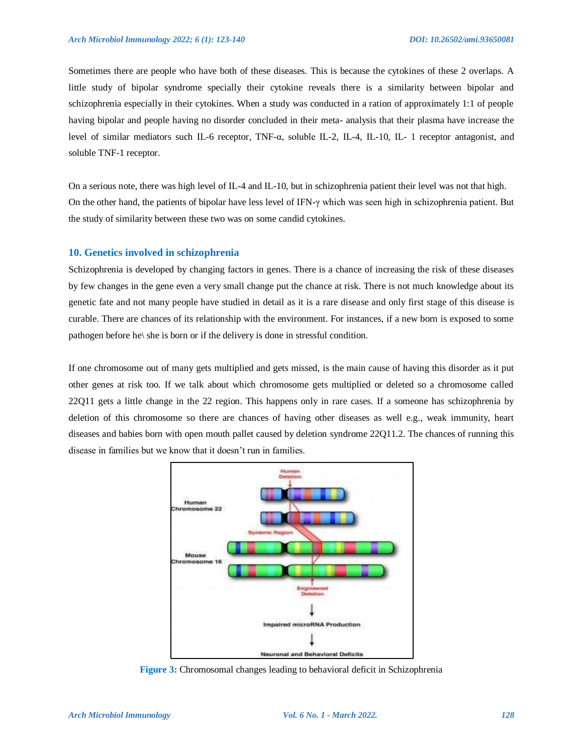Sometimes there are people who have both of these diseases. This is because the cytokines of these 2 overlaps. A little study of bipolar syndrome specially their cytokine reveals there is a similarity between bipolar and schizophrenia especially in their cytokines. When a study was conducted in a ration of approximately 1:1 of people having bipolar and people having no disorder concluded in their meta- analysis that their plasma have increase the level of similar mediators such IL-6 receptor, TNF-α, soluble IL-2, IL-4, IL-10, IL- 1 receptor antagonist, and soluble TNF-1 receptor.

On a serious note, there was high level of IL-4 and IL-10, but in schizophrenia patient their level was not that high. On the other hand, the patients of bipolar have less level of IFN-γ which was seen high in schizophrenia patient. But the study of similarity between these two was on some candid cytokines.

# **10. Genetics involved in schizophrenia**

Schizophrenia is developed by changing factors in genes. There is a chance of increasing the risk of these diseases by few changes in the gene even a very small change put the chance at risk. There is not much knowledge about its genetic fate and not many people have studied in detail as it is a rare disease and only first stage of this disease is curable. There are chances of its relationship with the environment. For instances, if a new born is exposed to some pathogen before he\ she is born or if the delivery is done in stressful condition.

If one chromosome out of many gets multiplied and gets missed, is the main cause of having this disorder as it put other genes at risk too. If we talk about which chromosome gets multiplied or deleted so a chromosome called 22Q11 gets a little change in the 22 region. This happens only in rare cases. If a someone has schizophrenia by deletion of this chromosome so there are chances of having other diseases as well e.g., weak immunity, heart diseases and babies born with open mouth pallet caused by deletion syndrome 22Q11.2. The chances of running this disease in families but we know that it doesn"t run in families.



**Figure 3:** Chromosomal changes leading to behavioral deficit in Schizophrenia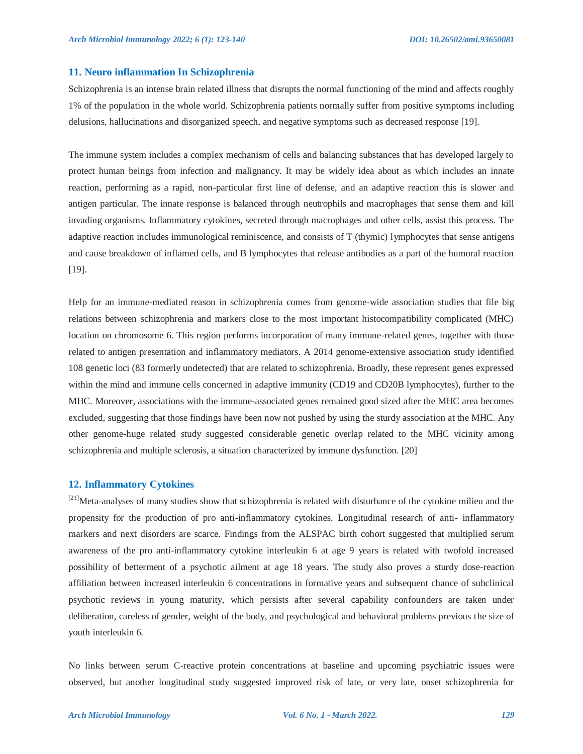# **11. Neuro inflammation In Schizophrenia**

Schizophrenia is an intense brain related illness that disrupts the normal functioning of the mind and affects roughly 1% of the population in the whole world. Schizophrenia patients normally suffer from positive symptoms including delusions, hallucinations and disorganized speech, and negative symptoms such as decreased response [19].

The immune system includes a complex mechanism of cells and balancing substances that has developed largely to protect human beings from infection and malignancy. It may be widely idea about as which includes an innate reaction, performing as a rapid, non-particular first line of defense, and an adaptive reaction this is slower and antigen particular. The innate response is balanced through neutrophils and macrophages that sense them and kill invading organisms. Inflammatory cytokines, secreted through macrophages and other cells, assist this process. The adaptive reaction includes immunological reminiscence, and consists of T (thymic) lymphocytes that sense antigens and cause breakdown of inflamed cells, and B lymphocytes that release antibodies as a part of the humoral reaction [19].

Help for an immune-mediated reason in schizophrenia comes from genome-wide association studies that file big relations between schizophrenia and markers close to the most important histocompatibility complicated (MHC) location on chromosome 6. This region performs incorporation of many immune-related genes, together with those related to antigen presentation and inflammatory mediators. A 2014 genome-extensive association study identified 108 genetic loci (83 formerly undetected) that are related to schizophrenia. Broadly, these represent genes expressed within the mind and immune cells concerned in adaptive immunity (CD19 and CD20B lymphocytes), further to the MHC. Moreover, associations with the immune-associated genes remained good sized after the MHC area becomes excluded, suggesting that those findings have been now not pushed by using the sturdy association at the MHC. Any other genome-huge related study suggested considerable genetic overlap related to the MHC vicinity among schizophrenia and multiple sclerosis, a situation characterized by immune dysfunction. [20]

# **12. Inflammatory Cytokines**

<sup>[21]</sup>Meta-analyses of many studies show that schizophrenia is related with disturbance of the cytokine milieu and the propensity for the production of pro anti-inflammatory cytokines. Longitudinal research of anti- inflammatory markers and next disorders are scarce. Findings from the ALSPAC birth cohort suggested that multiplied serum awareness of the pro anti-inflammatory cytokine interleukin 6 at age 9 years is related with twofold increased possibility of betterment of a psychotic ailment at age 18 years. The study also proves a sturdy dose-reaction affiliation between increased interleukin 6 concentrations in formative years and subsequent chance of subclinical psychotic reviews in young maturity, which persists after several capability confounders are taken under deliberation, careless of gender, weight of the body, and psychological and behavioral problems previous the size of youth interleukin 6.

No links between serum C-reactive protein concentrations at baseline and upcoming psychiatric issues were observed, but another longitudinal study suggested improved risk of late, or very late, onset schizophrenia for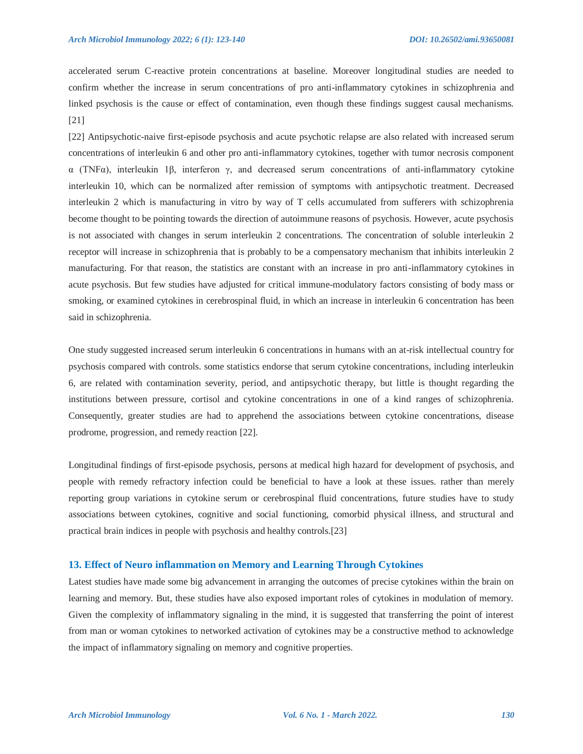accelerated serum C-reactive protein concentrations at baseline. Moreover longitudinal studies are needed to confirm whether the increase in serum concentrations of pro anti-inflammatory cytokines in schizophrenia and linked psychosis is the cause or effect of contamination, even though these findings suggest causal mechanisms. [21]

[22] Antipsychotic-naive first-episode psychosis and acute psychotic relapse are also related with increased serum concentrations of interleukin 6 and other pro anti-inflammatory cytokines, together with tumor necrosis component α (TNFα), interleukin 1β, interferon γ, and decreased serum concentrations of anti-inflammatory cytokine interleukin 10, which can be normalized after remission of symptoms with antipsychotic treatment. Decreased interleukin 2 which is manufacturing in vitro by way of T cells accumulated from sufferers with schizophrenia become thought to be pointing towards the direction of autoimmune reasons of psychosis. However, acute psychosis is not associated with changes in serum interleukin 2 concentrations. The concentration of soluble interleukin 2 receptor will increase in schizophrenia that is probably to be a compensatory mechanism that inhibits interleukin 2 manufacturing. For that reason, the statistics are constant with an increase in pro anti-inflammatory cytokines in acute psychosis. But few studies have adjusted for critical immune-modulatory factors consisting of body mass or smoking, or examined cytokines in cerebrospinal fluid, in which an increase in interleukin 6 concentration has been said in schizophrenia.

One study suggested increased serum interleukin 6 concentrations in humans with an at-risk intellectual country for psychosis compared with controls. some statistics endorse that serum cytokine concentrations, including interleukin 6, are related with contamination severity, period, and antipsychotic therapy, but little is thought regarding the institutions between pressure, cortisol and cytokine concentrations in one of a kind ranges of schizophrenia. Consequently, greater studies are had to apprehend the associations between cytokine concentrations, disease prodrome, progression, and remedy reaction [22].

Longitudinal findings of first-episode psychosis, persons at medical high hazard for development of psychosis, and people with remedy refractory infection could be beneficial to have a look at these issues. rather than merely reporting group variations in cytokine serum or cerebrospinal fluid concentrations, future studies have to study associations between cytokines, cognitive and social functioning, comorbid physical illness, and structural and practical brain indices in people with psychosis and healthy controls.[23]

# **13. Effect of Neuro inflammation on Memory and Learning Through Cytokines**

Latest studies have made some big advancement in arranging the outcomes of precise cytokines within the brain on learning and memory. But, these studies have also exposed important roles of cytokines in modulation of memory. Given the complexity of inflammatory signaling in the mind, it is suggested that transferring the point of interest from man or woman cytokines to networked activation of cytokines may be a constructive method to acknowledge the impact of inflammatory signaling on memory and cognitive properties.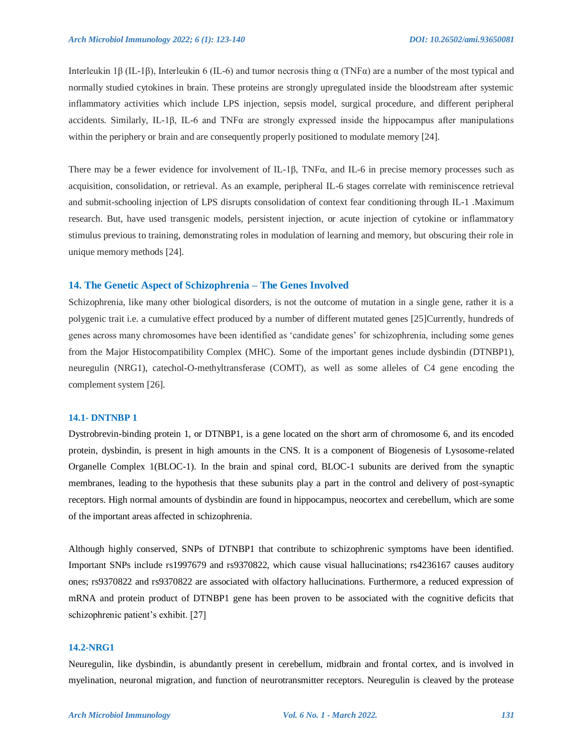Interleukin 1β (IL-1β), Interleukin 6 (IL-6) and tumor necrosis thing  $\alpha$  (TNFα) are a number of the most typical and normally studied cytokines in brain. These proteins are strongly upregulated inside the bloodstream after systemic inflammatory activities which include LPS injection, sepsis model, surgical procedure, and different peripheral accidents. Similarly, IL-1β, IL-6 and TNF $\alpha$  are strongly expressed inside the hippocampus after manipulations within the periphery or brain and are consequently properly positioned to modulate memory [24].

There may be a fewer evidence for involvement of IL-1β, TNFα, and IL-6 in precise memory processes such as acquisition, consolidation, or retrieval. As an example, peripheral IL-6 stages correlate with reminiscence retrieval and submit-schooling injection of LPS disrupts consolidation of context fear conditioning through IL-1 .Maximum research. But, have used transgenic models, persistent injection, or acute injection of cytokine or inflammatory stimulus previous to training, demonstrating roles in modulation of learning and memory, but obscuring their role in unique memory methods [24].

#### **14. The Genetic Aspect of Schizophrenia – The Genes Involved**

Schizophrenia, like many other biological disorders, is not the outcome of mutation in a single gene, rather it is a polygenic trait i.e. a cumulative effect produced by a number of different mutated genes [25]Currently, hundreds of genes across many chromosomes have been identified as "candidate genes" for schizophrenia, including some genes from the Major Histocompatibility Complex (MHC). Some of the important genes include dysbindin (DTNBP1), neuregulin (NRG1), catechol-O-methyltransferase (COMT), as well as some alleles of C4 gene encoding the complement system [26].

#### **14.1- DNTNBP 1**

Dystrobrevin-binding protein 1, or DTNBP1, is a gene located on the short arm of chromosome 6, and its encoded protein, dysbindin, is present in high amounts in the CNS. It is a component of Biogenesis of Lysosome-related Organelle Complex 1(BLOC-1). In the brain and spinal cord, BLOC-1 subunits are derived from the synaptic membranes, leading to the hypothesis that these subunits play a part in the control and delivery of post-synaptic receptors. High normal amounts of dysbindin are found in hippocampus, neocortex and cerebellum, which are some of the important areas affected in schizophrenia.

Although highly conserved, SNPs of DTNBP1 that contribute to schizophrenic symptoms have been identified. Important SNPs include rs1997679 and rs9370822, which cause visual hallucinations; rs4236167 causes auditory ones; rs9370822 and rs9370822 are associated with olfactory hallucinations. Furthermore, a reduced expression of mRNA and protein product of DTNBP1 gene has been proven to be associated with the cognitive deficits that schizophrenic patient's exhibit. [27]

#### **14.2-NRG1**

Neuregulin, like dysbindin, is abundantly present in cerebellum, midbrain and frontal cortex, and is involved in myelination, neuronal migration, and function of neurotransmitter receptors. Neuregulin is cleaved by the protease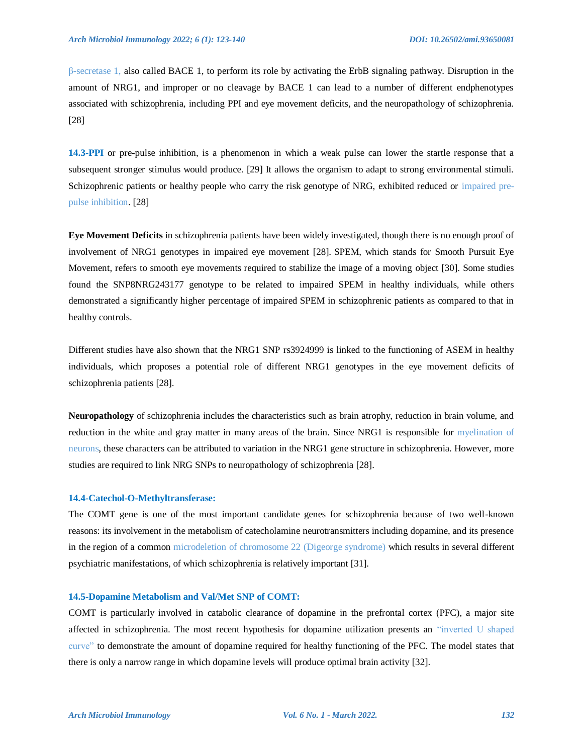β-secretase 1, also called BACE 1, to perform its role by activating the ErbB signaling pathway. Disruption in the amount of NRG1, and improper or no cleavage by BACE 1 can lead to a number of different endphenotypes associated with schizophrenia, including PPI and eye movement deficits, and the neuropathology of schizophrenia. [28]

**14.3-PPI** or pre-pulse inhibition, is a phenomenon in which a weak pulse can lower the startle response that a subsequent stronger stimulus would produce. [29] It allows the organism to adapt to strong environmental stimuli. Schizophrenic patients or healthy people who carry the risk genotype of NRG, exhibited reduced or impaired prepulse inhibition. [28]

**Eye Movement Deficits** in schizophrenia patients have been widely investigated, though there is no enough proof of involvement of NRG1 genotypes in impaired eye movement [28]. SPEM, which stands for Smooth Pursuit Eye Movement, refers to smooth eye movements required to stabilize the image of a moving object [30]. Some studies found the SNP8NRG243177 genotype to be related to impaired SPEM in healthy individuals, while others demonstrated a significantly higher percentage of impaired SPEM in schizophrenic patients as compared to that in healthy controls.

Different studies have also shown that the NRG1 SNP rs3924999 is linked to the functioning of ASEM in healthy individuals, which proposes a potential role of different NRG1 genotypes in the eye movement deficits of schizophrenia patients [28].

**Neuropathology** of schizophrenia includes the characteristics such as brain atrophy, reduction in brain volume, and reduction in the white and gray matter in many areas of the brain. Since NRG1 is responsible for myelination of neurons, these characters can be attributed to variation in the NRG1 gene structure in schizophrenia. However, more studies are required to link NRG SNPs to neuropathology of schizophrenia [28].

#### **14.4-Catechol-O-Methyltransferase:**

The COMT gene is one of the most important candidate genes for schizophrenia because of two well-known reasons: its involvement in the metabolism of catecholamine neurotransmitters including dopamine, and its presence in the region of a common microdeletion of chromosome 22 (Digeorge syndrome) which results in several different psychiatric manifestations, of which schizophrenia is relatively important [31].

# **14.5-Dopamine Metabolism and Val/Met SNP of COMT:**

COMT is particularly involved in catabolic clearance of dopamine in the prefrontal cortex (PFC), a major site affected in schizophrenia. The most recent hypothesis for dopamine utilization presents an "inverted U shaped curve" to demonstrate the amount of dopamine required for healthy functioning of the PFC. The model states that there is only a narrow range in which dopamine levels will produce optimal brain activity [32].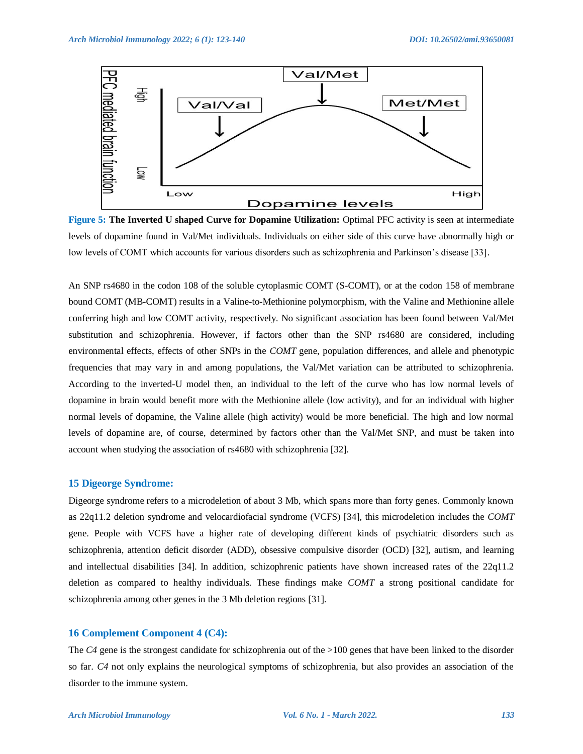

**Figure 5: The Inverted U shaped Curve for Dopamine Utilization:** Optimal PFC activity is seen at intermediate levels of dopamine found in Val/Met individuals. Individuals on either side of this curve have abnormally high or low levels of COMT which accounts for various disorders such as schizophrenia and Parkinson's disease [33].

An SNP rs4680 in the codon 108 of the soluble cytoplasmic COMT (S-COMT), or at the codon 158 of membrane bound COMT (MB-COMT) results in a Valine-to-Methionine polymorphism, with the Valine and Methionine allele conferring high and low COMT activity, respectively. No significant association has been found between Val/Met substitution and schizophrenia. However, if factors other than the SNP rs4680 are considered, including environmental effects, effects of other SNPs in the *COMT* gene, population differences, and allele and phenotypic frequencies that may vary in and among populations, the Val/Met variation can be attributed to schizophrenia. According to the inverted-U model then, an individual to the left of the curve who has low normal levels of dopamine in brain would benefit more with the Methionine allele (low activity), and for an individual with higher normal levels of dopamine, the Valine allele (high activity) would be more beneficial. The high and low normal levels of dopamine are, of course, determined by factors other than the Val/Met SNP, and must be taken into account when studying the association of rs4680 with schizophrenia [32].

# **15 Digeorge Syndrome:**

Digeorge syndrome refers to a microdeletion of about 3 Mb, which spans more than forty genes. Commonly known as 22q11.2 deletion syndrome and velocardiofacial syndrome (VCFS) [34], this microdeletion includes the *COMT* gene. People with VCFS have a higher rate of developing different kinds of psychiatric disorders such as schizophrenia, attention deficit disorder (ADD), obsessive compulsive disorder (OCD) [32], autism, and learning and intellectual disabilities [34]. In addition, schizophrenic patients have shown increased rates of the 22q11.2 deletion as compared to healthy individuals. These findings make *COMT* a strong positional candidate for schizophrenia among other genes in the 3 Mb deletion regions [31].

# **16 Complement Component 4 (C4):**

The *C4* gene is the strongest candidate for schizophrenia out of the >100 genes that have been linked to the disorder so far. *C4* not only explains the neurological symptoms of schizophrenia, but also provides an association of the disorder to the immune system.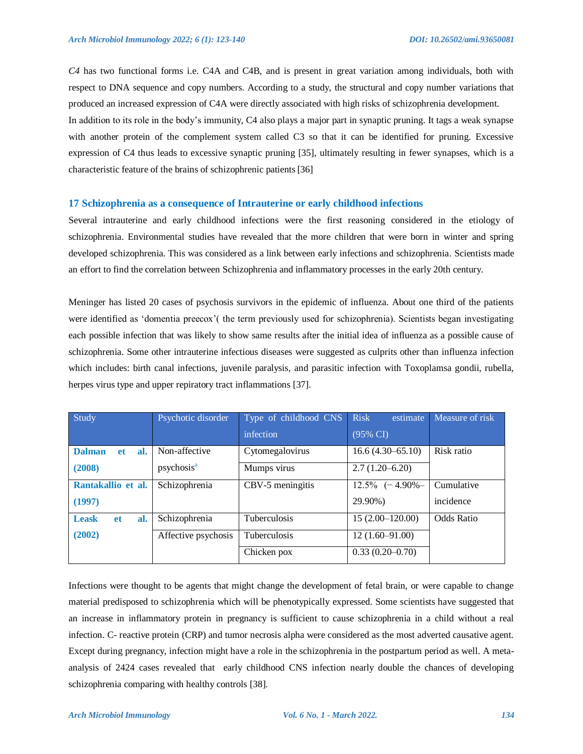*C4* has two functional forms i.e. C4A and C4B, and is present in great variation among individuals, both with respect to DNA sequence and copy numbers. According to a study, the structural and copy number variations that produced an increased expression of C4A were directly associated with high risks of schizophrenia development. In addition to its role in the body"s immunity, C4 also plays a major part in synaptic pruning. It tags a weak synapse with another protein of the complement system called C3 so that it can be identified for pruning. Excessive expression of C4 thus leads to excessive synaptic pruning [35], ultimately resulting in fewer synapses, which is a characteristic feature of the brains of schizophrenic patients[36]

# **17 Schizophrenia as a consequence of Intrauterine or early childhood infections**

Several intrauterine and early childhood infections were the first reasoning considered in the etiology of schizophrenia. Environmental studies have revealed that the more children that were born in winter and spring developed schizophrenia. This was considered as a link between early infections and schizophrenia. Scientists made an effort to find the correlation between Schizophrenia and inflammatory processes in the early 20th century.

Meninger has listed 20 cases of psychosis survivors in the epidemic of influenza. About one third of the patients were identified as "domentia preecox"( the term previously used for schizophrenia). Scientists began investigating each possible infection that was likely to show same results after the initial idea of influenza as a possible cause of schizophrenia. Some other intrauterine infectious diseases were suggested as culprits other than influenza infection which includes: birth canal infections, juvenile paralysis, and parasitic infection with Toxoplamsa gondii, rubella, herpes virus type and upper repiratory tract inflammations [37].

| Study                             | Psychotic disorder     | Type of childhood CNS | <b>Risk</b><br>estimate | Measure of risk |  |
|-----------------------------------|------------------------|-----------------------|-------------------------|-----------------|--|
|                                   |                        | infection             | (95% CI)                |                 |  |
| <b>Dalman</b><br>al.<br><b>et</b> | Non-affective          | Cytomegalovirus       | $16.6(4.30-65.10)$      | Risk ratio      |  |
| (2008)                            | psychosis <sup>a</sup> | Mumps virus           | $2.7(1.20-6.20)$        |                 |  |
| Rantakallio et al.                | Schizophrenia          | CBV-5 meningitis      | $12.5\%$ $(-4.90\% -$   | Cumulative      |  |
| (1997)                            |                        |                       | 29.90%)                 | incidence       |  |
| <b>Leask</b><br>al.<br><b>et</b>  | Schizophrenia          | <b>Tuberculosis</b>   | $15(2.00-120.00)$       | Odds Ratio      |  |
| (2002)                            | Affective psychosis    | <b>Tuberculosis</b>   | $12(1.60 - 91.00)$      |                 |  |
|                                   |                        | Chicken pox           | $0.33(0.20-0.70)$       |                 |  |

Infections were thought to be agents that might change the development of fetal brain, or were capable to change material predisposed to schizophrenia which will be phenotypically expressed. Some scientists have suggested that an increase in inflammatory protein in pregnancy is sufficient to cause schizophrenia in a child without a real infection. C- reactive protein (CRP) and tumor necrosis alpha were considered as the most adverted causative agent. Except during pregnancy, infection might have a role in the schizophrenia in the postpartum period as well. A metaanalysis of 2424 cases revealed that early childhood CNS infection nearly double the chances of developing schizophrenia comparing with healthy controls [38].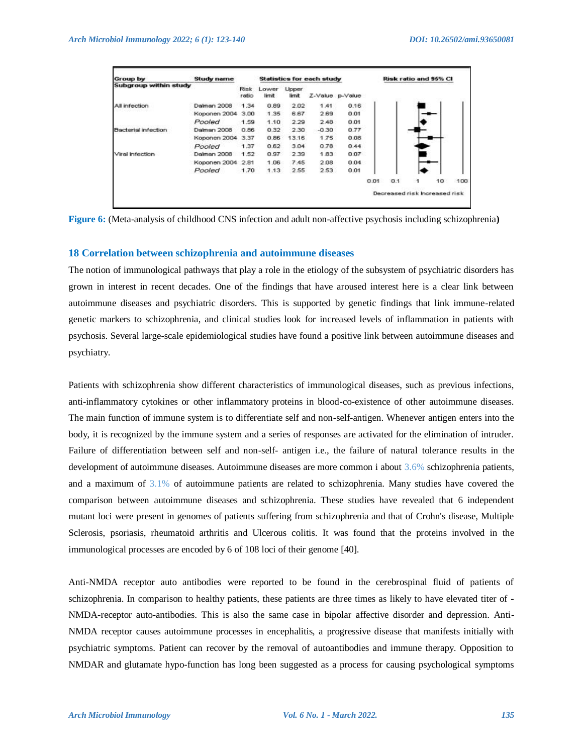| <b>Group by</b>            | <b>Study name</b> | <b>Statistics for each study</b> |                |                  |         |                 | Risk ratio and 95% CI |     |                               |    |     |
|----------------------------|-------------------|----------------------------------|----------------|------------------|---------|-----------------|-----------------------|-----|-------------------------------|----|-----|
| Subgroup within study      |                   | Risk<br>ratio                    | Lower<br>limit | Upper<br>iirnit. |         | Z-Value p-Value |                       |     |                               |    |     |
| All infection              | Dalman 2008       | 1.34                             | 0.89           | 2.02             | 1.41    | 0.16            |                       |     |                               |    |     |
|                            | Koponen 2004      | 3.00                             | 1.35           | 6.67             | 2.69    | 0.01            |                       |     |                               |    |     |
|                            | Pooled            | 1.59                             | 1.10           | 2.29             | 2.48    | 0.01            |                       |     |                               |    |     |
| <b>Bacterial infection</b> | Dalman 2008       | 0.86                             | 0.32           | 2.30             | $-0.30$ | 0.77            |                       |     |                               |    |     |
|                            | Koponen 2004      | 3.37                             | 0.86           | 13.16            | 1.75    | 0.08            |                       |     |                               |    |     |
|                            | Pooled            | 1.37                             | 0.62           | 3.04             | 0.78    | 0.44            |                       |     |                               |    |     |
| Viral infection            | Dalman 2008       | 1.52                             | 0.97           | 2.39             | 1.83    | 0.07            |                       |     |                               |    |     |
|                            | Koponen 2004 2.81 |                                  | 1.06           | 7.45             | 2.08    | 0.04            |                       |     |                               |    |     |
|                            | Pooled            | 1.70                             | 1.13           | 2.55             | 2.53    | 0.01            |                       |     |                               |    |     |
|                            |                   |                                  |                |                  |         |                 | 0.01                  | 0.1 | 1                             | 10 | 100 |
|                            |                   |                                  |                |                  |         |                 |                       |     | Decreased risk Increased risk |    |     |

**Figure 6:** (Meta-analysis of childhood CNS infection and adult non-affective psychosis including schizophrenia**)**

#### **18 Correlation between schizophrenia and autoimmune diseases**

The notion of immunological pathways that play a role in the etiology of the subsystem of psychiatric disorders has grown in interest in recent decades. One of the findings that have aroused interest here is a clear link between autoimmune diseases and psychiatric disorders. This is supported by genetic findings that link immune-related genetic markers to schizophrenia, and clinical studies look for increased levels of inflammation in patients with psychosis. Several large-scale epidemiological studies have found a positive link between autoimmune diseases and psychiatry.

Patients with schizophrenia show different characteristics of immunological diseases, such as previous infections, anti-inflammatory cytokines or other inflammatory proteins in blood-co-existence of other autoimmune diseases. The main function of immune system is to differentiate self and non-self-antigen. Whenever antigen enters into the body, it is recognized by the immune system and a series of responses are activated for the elimination of intruder. Failure of differentiation between self and non-self- antigen i.e., the failure of natural tolerance results in the development of autoimmune diseases. Autoimmune diseases are more common i about 3.6% schizophrenia patients, and a maximum of 3.1% of autoimmune patients are related to schizophrenia. Many studies have covered the comparison between autoimmune diseases and schizophrenia. These studies have revealed that 6 independent mutant loci were present in genomes of patients suffering from schizophrenia and that of Crohn's disease, Multiple Sclerosis, psoriasis, rheumatoid arthritis and Ulcerous colitis. It was found that the proteins involved in the immunological processes are encoded by 6 of 108 loci of their genome [40].

Anti-NMDA receptor auto antibodies were reported to be found in the cerebrospinal fluid of patients of schizophrenia. In comparison to healthy patients, these patients are three times as likely to have elevated titer of - NMDA-receptor auto-antibodies. This is also the same case in bipolar affective disorder and depression. Anti-NMDA receptor causes autoimmune processes in encephalitis, a progressive disease that manifests initially with psychiatric symptoms. Patient can recover by the removal of autoantibodies and immune therapy. Opposition to NMDAR and glutamate hypo-function has long been suggested as a process for causing psychological symptoms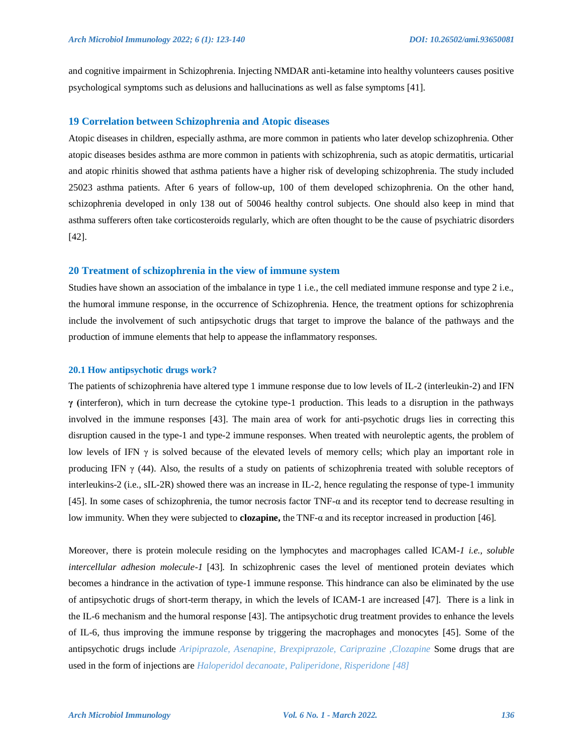and cognitive impairment in Schizophrenia. Injecting NMDAR anti-ketamine into healthy volunteers causes positive psychological symptoms such as delusions and hallucinations as well as false symptoms [41].

# **19 Correlation between Schizophrenia and Atopic diseases**

Atopic diseases in children, especially asthma, are more common in patients who later develop schizophrenia. Other atopic diseases besides asthma are more common in patients with schizophrenia, such as atopic dermatitis, urticarial and atopic rhinitis showed that asthma patients have a higher risk of developing schizophrenia. The study included 25023 asthma patients. After 6 years of follow-up, 100 of them developed schizophrenia. On the other hand, schizophrenia developed in only 138 out of 50046 healthy control subjects. One should also keep in mind that asthma sufferers often take corticosteroids regularly, which are often thought to be the cause of psychiatric disorders [42].

#### **20 Treatment of schizophrenia in the view of immune system**

Studies have shown an association of the imbalance in type 1 i.e., the cell mediated immune response and type 2 i.e., the humoral immune response, in the occurrence of Schizophrenia. Hence, the treatment options for schizophrenia include the involvement of such antipsychotic drugs that target to improve the balance of the pathways and the production of immune elements that help to appease the inflammatory responses.

#### **20.1 How antipsychotic drugs work?**

The patients of schizophrenia have altered type 1 immune response due to low levels of IL-2 (interleukin-2) and IFN **γ (**interferon), which in turn decrease the cytokine type-1 production. This leads to a disruption in the pathways involved in the immune responses [43]. The main area of work for anti-psychotic drugs lies in correcting this disruption caused in the type-1 and type-2 immune responses. When treated with neuroleptic agents, the problem of low levels of IFN γ is solved because of the elevated levels of memory cells; which play an important role in producing IFN  $\gamma$  (44). Also, the results of a study on patients of schizophrenia treated with soluble receptors of interleukins-2 (i.e., sIL-2R) showed there was an increase in IL-2, hence regulating the response of type-1 immunity [45]. In some cases of schizophrenia, the tumor necrosis factor TNF- $\alpha$  and its receptor tend to decrease resulting in low immunity. When they were subjected to **clozapine,** the TNF-α and its receptor increased in production [46].

Moreover, there is protein molecule residing on the lymphocytes and macrophages called ICAM*-1 i.e., soluble intercellular adhesion molecule-1* [43]*.* In schizophrenic cases the level of mentioned protein deviates which becomes a hindrance in the activation of type-1 immune response. This hindrance can also be eliminated by the use of antipsychotic drugs of short-term therapy, in which the levels of ICAM-1 are increased [47]. There is a link in the IL-6 mechanism and the humoral response [43]. The antipsychotic drug treatment provides to enhance the levels of IL-6, thus improving the immune response by triggering the macrophages and monocytes [45]. Some of the antipsychotic drugs include *Aripiprazole, Asenapine, Brexpiprazole, Cariprazine ,Clozapine* Some drugs that are used in the form of injections are *Haloperidol decanoate*, *Paliperidone*, *Risperidone [48]*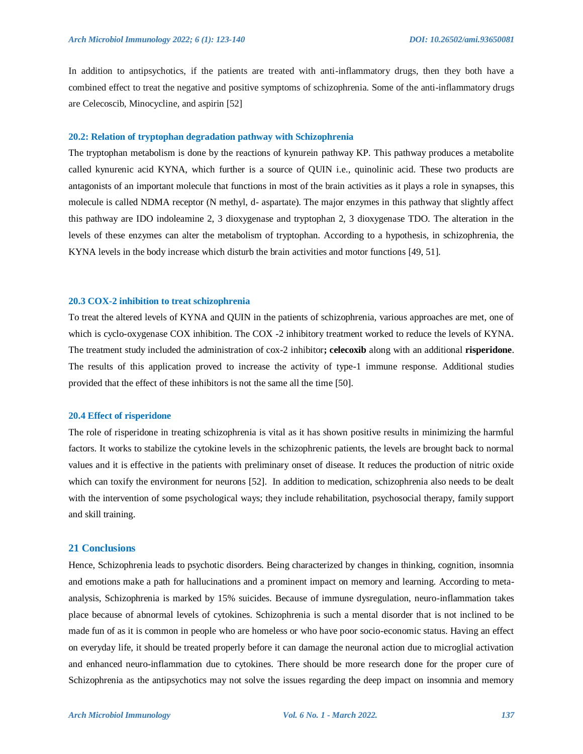In addition to antipsychotics, if the patients are treated with anti-inflammatory drugs, then they both have a combined effect to treat the negative and positive symptoms of schizophrenia. Some of the anti-inflammatory drugs are Celecoscib, Minocycline, and aspirin [52]

#### **20.2: Relation of tryptophan degradation pathway with Schizophrenia**

The tryptophan metabolism is done by the reactions of kynurein pathway KP. This pathway produces a metabolite called kynurenic acid KYNA, which further is a source of QUIN i.e., quinolinic acid. These two products are antagonists of an important molecule that functions in most of the brain activities as it plays a role in synapses, this molecule is called NDMA receptor (N methyl, d- aspartate). The major enzymes in this pathway that slightly affect this pathway are IDO indoleamine 2, 3 dioxygenase and tryptophan 2, 3 dioxygenase TDO. The alteration in the levels of these enzymes can alter the metabolism of tryptophan. According to a hypothesis, in schizophrenia, the KYNA levels in the body increase which disturb the brain activities and motor functions [49, 51].

#### **20.3 COX-2 inhibition to treat schizophrenia**

To treat the altered levels of KYNA and QUIN in the patients of schizophrenia, various approaches are met, one of which is cyclo-oxygenase COX inhibition. The COX -2 inhibitory treatment worked to reduce the levels of KYNA. The treatment study included the administration of cox-2 inhibitor**; celecoxib** along with an additional **risperidone**. The results of this application proved to increase the activity of type-1 immune response. Additional studies provided that the effect of these inhibitors is not the same all the time [50].

#### **20.4 Effect of risperidone**

The role of risperidone in treating schizophrenia is vital as it has shown positive results in minimizing the harmful factors. It works to stabilize the cytokine levels in the schizophrenic patients, the levels are brought back to normal values and it is effective in the patients with preliminary onset of disease. It reduces the production of nitric oxide which can toxify the environment for neurons [52]. In addition to medication, schizophrenia also needs to be dealt with the intervention of some psychological ways; they include rehabilitation, psychosocial therapy, family support and skill training.

#### **21 Conclusions**

Hence, Schizophrenia leads to psychotic disorders. Being characterized by changes in thinking, cognition, insomnia and emotions make a path for hallucinations and a prominent impact on memory and learning. According to metaanalysis, Schizophrenia is marked by 15% suicides. Because of immune dysregulation, neuro-inflammation takes place because of abnormal levels of cytokines. Schizophrenia is such a mental disorder that is not inclined to be made fun of as it is common in people who are homeless or who have poor socio-economic status. Having an effect on everyday life, it should be treated properly before it can damage the neuronal action due to microglial activation and enhanced neuro-inflammation due to cytokines. There should be more research done for the proper cure of Schizophrenia as the antipsychotics may not solve the issues regarding the deep impact on insomnia and memory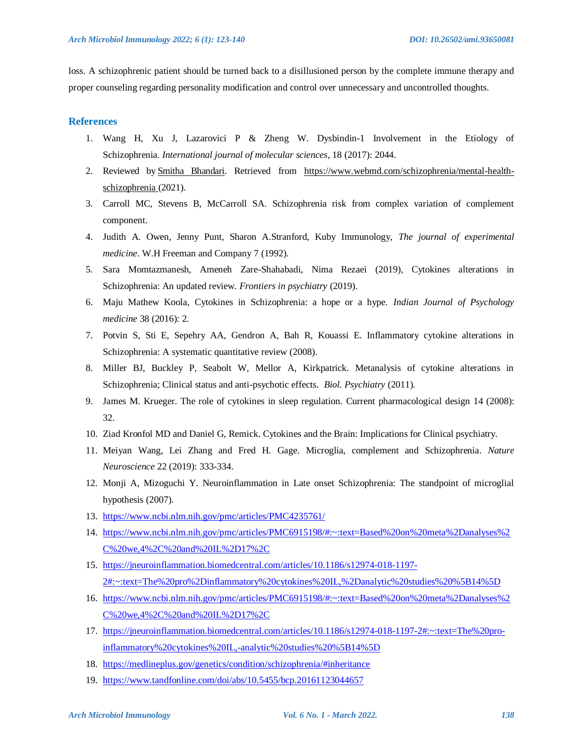loss. A schizophrenic patient should be turned back to a disillusioned person by the complete immune therapy and proper counseling regarding personality modification and control over unnecessary and uncontrolled thoughts.

# **References**

- 1. Wang H, Xu J, Lazarovici P & Zheng W. Dysbindin-1 Involvement in the Etiology of Schizophrenia. *International journal of molecular sciences*, 18 (2017): 2044.
- 2. Reviewed by [Smitha Bhandari.](https://www.webmd.com/smitha-bhandari) Retrieved from [https://www.webmd.com/schizophrenia/mental-health](https://www.webmd.com/schizophrenia/mental-health-schizophrenia)[schizophrenia](https://www.webmd.com/schizophrenia/mental-health-schizophrenia) (2021).
- 3. Carroll MC, Stevens B, McCarroll SA. Schizophrenia risk from complex variation of complement component.
- 4. Judith A. Owen, Jenny Punt, Sharon A.Stranford, Kuby Immunology, *The journal of experimental medicine*. W.H Freeman and Company 7 (1992).
- 5. Sara Momtazmanesh, Ameneh Zare-Shahabadi, Nima Rezaei (2019), Cytokines alterations in Schizophrenia: An updated review. *Frontiers in psychiatry* (2019).
- 6. Maju Mathew Koola, Cytokines in Schizophrenia: a hope or a hype. *Indian Journal of Psychology medicine* 38 (2016): 2.
- 7. Potvin S, Sti E, Sepehry AA, Gendron A, Bah R, Kouassi E. Inflammatory cytokine alterations in Schizophrenia: A systematic quantitative review (2008).
- 8. Miller BJ, Buckley P, Seabolt W, Mellor A, Kirkpatrick. Metanalysis of cytokine alterations in Schizophrenia; Clinical status and anti-psychotic effects. *Biol. Psychiatry* (2011).
- 9. James M. Krueger. The role of cytokines in sleep regulation. Current pharmacological design 14 (2008): 32.
- 10. Ziad Kronfol MD and Daniel G, Remick. Cytokines and the Brain: Implications for Clinical psychiatry.
- 11. Meiyan Wang, Lei Zhang and Fred H. Gage. Microglia, complement and Schizophrenia. *Nature Neuroscience* 22 (2019): 333-334.
- 12. Monji A, Mizoguchi Y. Neuroinflammation in Late onset Schizophrenia: The standpoint of microglial hypothesis (2007).
- 13. <https://www.ncbi.nlm.nih.gov/pmc/articles/PMC4235761/>
- 14. [https://www.ncbi.nlm.nih.gov/pmc/articles/PMC6915198/#:~:text=Based%20on%20meta%2Danalyses%2](https://www.ncbi.nlm.nih.gov/pmc/articles/PMC6915198/#:~:text=Based%20on%20meta%2Danalyses%2C%20we,4%2C%20and%20IL%2D17%2C) [C%20we,4%2C%20and%20IL%2D17%2C](https://www.ncbi.nlm.nih.gov/pmc/articles/PMC6915198/#:~:text=Based%20on%20meta%2Danalyses%2C%20we,4%2C%20and%20IL%2D17%2C)
- 15. [https://jneuroinflammation.biomedcentral.com/articles/10.1186/s12974-018-1197-](https://jneuroinflammation.biomedcentral.com/articles/10.1186/s12974-018-1197-2#:~:text=The%20pro%2Dinflammatory%20cytokines%20IL,%2Danalytic%20studies%20%5B14%5D) [2#:~:text=The%20pro%2Dinflammatory%20cytokines%20IL,%2Danalytic%20studies%20%5B14%5D](https://jneuroinflammation.biomedcentral.com/articles/10.1186/s12974-018-1197-2#:~:text=The%20pro%2Dinflammatory%20cytokines%20IL,%2Danalytic%20studies%20%5B14%5D)
- 16. [https://www.ncbi.nlm.nih.gov/pmc/articles/PMC6915198/#:~:text=Based%20on%20meta%2Danalyses%2](https://www.ncbi.nlm.nih.gov/pmc/articles/PMC6915198/#:~:text=Based%20on%20meta%2Danalyses%2C%20we,4%2C%20and%20IL%2D17%2C) [C%20we,4%2C%20and%20IL%2D17%2C](https://www.ncbi.nlm.nih.gov/pmc/articles/PMC6915198/#:~:text=Based%20on%20meta%2Danalyses%2C%20we,4%2C%20and%20IL%2D17%2C)
- 17. [https://jneuroinflammation.biomedcentral.com/articles/10.1186/s12974-018-1197-2#:~:text=The%20pro](https://jneuroinflammation.biomedcentral.com/articles/10.1186/s12974-018-1197-2#:~:text=The%20pro-inflammatory%20cytokines%20IL,-analytic%20studies%20%5B14%5D)[inflammatory%20cytokines%20IL,-analytic%20studies%20%5B14%5D](https://jneuroinflammation.biomedcentral.com/articles/10.1186/s12974-018-1197-2#:~:text=The%20pro-inflammatory%20cytokines%20IL,-analytic%20studies%20%5B14%5D)
- 18. <https://medlineplus.gov/genetics/condition/schizophrenia/#inheritance>
- 19. <https://www.tandfonline.com/doi/abs/10.5455/bcp.20161123044657>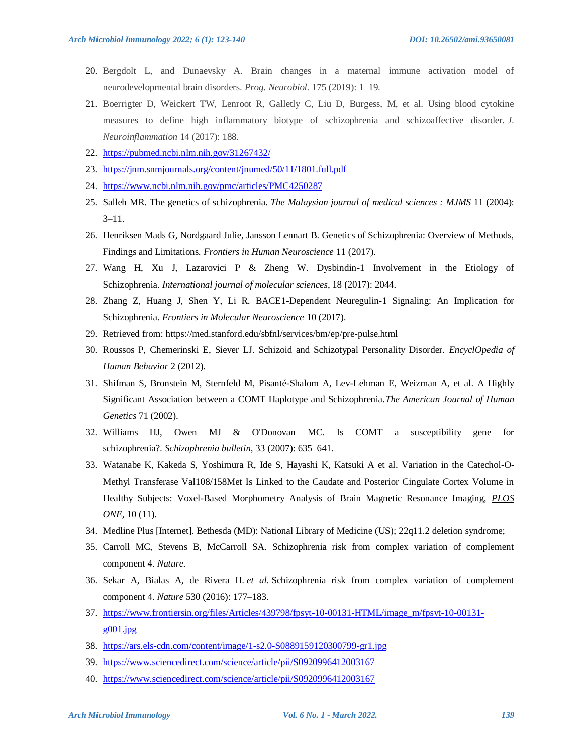- 20. Bergdolt L, and Dunaevsky A. Brain changes in a maternal immune activation model of neurodevelopmental brain disorders. *Prog. Neurobiol.* 175 (2019): 1–19.
- 21. Boerrigter D, Weickert TW, Lenroot R, Galletly C, Liu D, Burgess, M, et al. Using blood cytokine measures to define high inflammatory biotype of schizophrenia and schizoaffective disorder. *J. Neuroinflammation* 14 (2017): 188.
- 22. <https://pubmed.ncbi.nlm.nih.gov/31267432/>
- 23. <https://jnm.snmjournals.org/content/jnumed/50/11/1801.full.pdf>
- 24. <https://www.ncbi.nlm.nih.gov/pmc/articles/PMC4250287>
- 25. Salleh MR. The genetics of schizophrenia. *The Malaysian journal of medical sciences : MJMS* 11 (2004):  $3 - 11$ .
- 26. Henriksen Mads G, Nordgaard Julie, Jansson Lennart B. Genetics of Schizophrenia: Overview of Methods, Findings and Limitations. *Frontiers in Human Neuroscience* 11 (2017).
- 27. Wang H, Xu J, Lazarovici P & Zheng W. Dysbindin-1 Involvement in the Etiology of Schizophrenia. *International journal of molecular sciences*, 18 (2017): 2044.
- 28. Zhang Z, Huang J, Shen Y, Li R. BACE1-Dependent Neuregulin-1 Signaling: An Implication for Schizophrenia. *Frontiers in Molecular Neuroscience* 10 (2017).
- 29. Retrieved from:<https://med.stanford.edu/sbfnl/services/bm/ep/pre-pulse.html>
- 30. Roussos P, Chemerinski E, Siever LJ. Schizoid and Schizotypal Personality Disorder. *EncyclOpedia of Human Behavior* 2 (2012).
- 31. Shifman S, Bronstein M, Sternfeld M, Pisanté-Shalom A, Lev-Lehman E, Weizman A, et al. A Highly Significant Association between a COMT Haplotype and Schizophrenia.*The American Journal of Human Genetics* 71 (2002).
- 32. Williams HJ, Owen MJ & O'Donovan MC. Is COMT a susceptibility gene for schizophrenia?. *Schizophrenia bulletin*, 33 (2007): 635–641.
- 33. Watanabe K, Kakeda S, Yoshimura R, Ide S, Hayashi K, Katsuki A et al. Variation in the Catechol-O-Methyl Transferase Val108/158Met Is Linked to the Caudate and Posterior Cingulate Cortex Volume in Healthy Subjects: Voxel-Based Morphometry Analysis of Brain Magnetic Resonance Imaging, *[PLOS](https://app.dimensions.ai/discover/publication?and_facet_source_title=jour.1037553)  [ONE,](https://app.dimensions.ai/discover/publication?and_facet_source_title=jour.1037553)* 10 (11).
- 34. Medline Plus [Internet]. Bethesda (MD): National Library of Medicine (US); 22q11.2 deletion syndrome;
- 35. Carroll MC, Stevens B, McCarroll SA. Schizophrenia risk from complex variation of complement component 4. *Nature.*
- 36. Sekar A, Bialas A, de Rivera H. *et al*. Schizophrenia risk from complex variation of complement component 4. *Nature* 530 (2016): 177–183.
- 37. [https://www.frontiersin.org/files/Articles/439798/fpsyt-10-00131-HTML/image\\_m/fpsyt-10-00131](https://www.frontiersin.org/files/Articles/439798/fpsyt-10-00131-HTML/image_m/fpsyt-10-00131-g001.jpg)  $g001$ .jpg
- 38. <https://ars.els-cdn.com/content/image/1-s2.0-S0889159120300799-gr1.jpg>
- 39. <https://www.sciencedirect.com/science/article/pii/S0920996412003167>
- 40. <https://www.sciencedirect.com/science/article/pii/S0920996412003167>